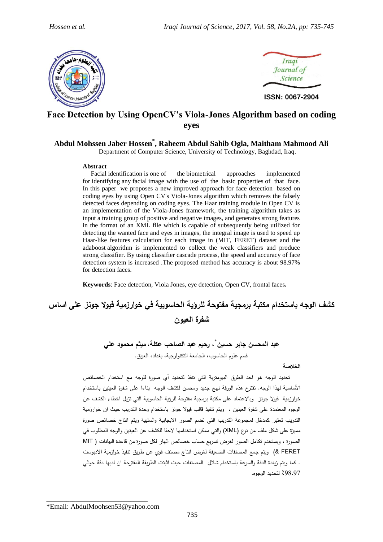



# **Face Detection by Using OpenCV's Viola-Jones Algorithm based on coding eyes**

# **Abdul Mohssen Jaber Hossen\* , Raheem Abdul Sahib Ogla, Maitham Mahmood Ali**

Department of Computer Science, University of Technology, Baghdad, Iraq.

#### **Abstract**

Facial identification is one of the biometrical approaches implemented for identifying any facial image with the use of the basic properties of that face. In this paper we proposes a new improved approach for face detection based on coding eyes by using Open CV's Viola-Jones algorithm which removes the falsely detected faces depending on coding eyes. The Haar training module in Open CV is an implementation of the Viola-Jones framework, the training algorithm takes as input a training group of positive and negative images, and generates strong features in the format of an XML file which is capable of subsequently being utilized for detecting the wanted face and eyes in images, the integral image is used to speed up Haar-like features calculation for each image in (MIT, FERET) dataset and the adaboost algorithm is implemented to collect the weak classifiers and produce strong classifier. By using classifier cascade process, the speed and accuracy of face detection system is increased .The proposed method has accuracy is about 98.97% for detection faces.

**Keywords**: Face detection, Viola Jones, eye detection, Open CV, frontal faces**.**

# **كشف الوجه باستخدام مكتبة برمجية مفتوحة للرؤية الحاسوبية في خوارزمية فيوال جونز على اساس شفرة العيون**

\* **عبد المحسن جابر حسين ، رحيم عبد الصاحب عكلة، ميثم محمود علي** قسم علوم الحاسوب، الجامعة التكنولوجية، بغداد، العراق.

# **الخالصة**

 تحديد الوجه هو احد الطرق البيومترية التي تنفذ لتحديد أي صورة للوجه مع استخدام الخصائص األساسية لهذا الوجه. تقترح هذه الورقة نهج جديد و محسن لكشف الوجه بناءا على شفرة العينين باستخدام خوارزمية فيولا جونز وبالاعتماد على مكتبة برمجية مفتوحة للرؤية الحاسوبية التي تزيل اخطاء الكشف عن الوجوه المعتمدة على شفرة العينين ، ويتم تنفيذ قالب فيوال جونز باستخدام وحدة التدريب حيث ان خوارزمية التدريب تعتبر كمدخل لمجموعة التدريب التي تضم الصور االيجابية والسلبية ويتم انتاج خصائص صورة مميزة على شكل ملف من نوع (XML) والتي ممكن استخدامها لاحقا للكشف عن العينين والوجه المطلوب في الصورة ، ويستخدم تكامل الصور لغرض تسريع حساب خصائص الهار لكل صورة من قاعدة البيانات ) MIT FERET )& ويتم جمع المصنفات الضعيفة لغرض انتاج مصنف قوي عن طريق تنفيذ خوازمية االدبوست . كما ويتم زيادة الدقة و السرعة باستخدام شالل المصنفات حيث اثبتت الطريقة المقترحة ان لديها دقة حوالي ٪89.89 لتحديد الوجوه.

\*Email: AbdulMoohsen53@yahoo.com

\_\_\_\_\_\_\_\_\_\_\_\_\_\_\_\_\_\_\_\_\_\_\_\_\_\_\_\_\_\_\_\_\_\_\_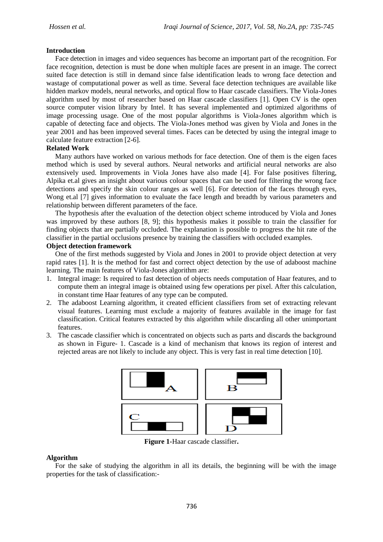#### **Introduction**

 Face detection in images and video sequences has become an important part of the recognition. For face recognition, detection is must be done when multiple faces are present in an image. The correct suited face detection is still in demand since false identification leads to wrong face detection and wastage of computational power as well as time. Several face detection techniques are available like hidden markov models, neural networks, and optical flow to Haar cascade classifiers. The Viola-Jones algorithm used by most of researcher based on Haar cascade classifiers [1]. Open CV is the open source computer vision library by Intel. It has several implemented and optimized algorithms of image processing usage. One of the most popular algorithms is Viola-Jones algorithm which is capable of detecting face and objects. The Viola-Jones method was given by Viola and Jones in the year 2001 and has been improved several times. Faces can be detected by using the integral image to calculate feature extraction [2-6].

# **Related Work**

 Many authors have worked on various methods for face detection. One of them is the eigen faces method which is used by several authors. Neural networks and artificial neural networks are also extensively used. Improvements in Viola Jones have also made [4]. For false positives filtering, Alpika et.al gives an insight about various colour spaces that can be used for filtering the wrong face detections and specify the skin colour ranges as well [6]. For detection of the faces through eyes, Wong et.al [7] gives information to evaluate the face length and breadth by various parameters and relationship between different parameters of the face.

 The hypothesis after the evaluation of the detection object scheme introduced by Viola and Jones was improved by these authors [8, 9]; this hypothesis makes it possible to train the classifier for finding objects that are partially occluded. The explanation is possible to progress the hit rate of the classifier in the partial occlusions presence by training the classifiers with occluded examples.

#### **Object detection framework**

 One of the first methods suggested by Viola and Jones in 2001 to provide object detection at very rapid rates [1]. It is the method for fast and correct object detection by the use of adaboost machine learning. The main features of Viola-Jones algorithm are:

- 1. Integral image: Is required to fast detection of objects needs computation of Haar features, and to compute them an integral image is obtained using few operations per pixel. After this calculation, in constant time Haar features of any type can be computed.
- 2. The adaboost Learning algorithm, it created efficient classifiers from set of extracting relevant visual features. Learning must exclude a majority of features available in the image for fast classification. Critical features extracted by this algorithm while discarding all other unimportant features.
- 3. The cascade classifier which is concentrated on objects such as parts and discards the background as shown in Figure- 1. Cascade is a kind of mechanism that knows its region of interest and rejected areas are not likely to include any object. This is very fast in real time detection [10].



**Figure 1-**Haar cascade classifier**.**

# **Algorithm**

 For the sake of studying the algorithm in all its details, the beginning will be with the image properties for the task of classification:-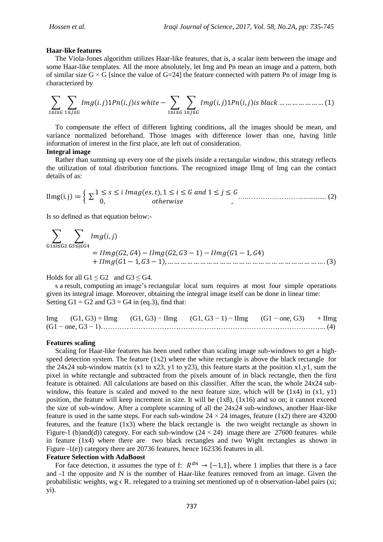#### **Haar-like features**

 The Viola-Jones algorithm utilizes Haar-like features, that is, a scalar item between the image and some Haar-like templates. All the more absolutely, let Img and Pn mean an image and a pattern, both of similar size  $G \times G$  [since the value of  $G=24$ ] the feature connected with pattern Pn of image Img is characterized by

∑ ∑ ( ) ( ) ∑ ∑ ( ) ( ) ( ) 

 To compensate the effect of different lighting conditions, all the images should be mean, and variance normalized beforehand. Those images with difference lower than one, having little information of interest in the first place, are left out of consideration.

### **Integral image**

 Rather than summing up every one of the pixels inside a rectangular window, this strategy reflects the utilization of total distribution functions. The recognized image IImg of Img can the contact details of as:

 ( ) { ∑ ( ) …..…………………................ (2)

Is so defined as that equation below:-

∑ ∑ ( ) ( ) ( ) ( ) ( ) ( )

Holds for all  $G1 \leq G2$  and  $G3 \leq G4$ .

 s a result, computing an image's rectangular local sum requires at most four simple operations given its integral image. Moreover, obtaining the integral image itself can be done in linear time: Setting  $G1 = G2$  and  $G3 = G4$  in (eq.3), find that:

Img  $(G1, G3) = \text{Hmg}$   $(G1, G3) - \text{Hmg}$   $(G1, G3 - 1) - \text{Hmg}$   $(G1 - \text{one}, G3) + \text{Hmg}$ (G1 − one, G3 − 1)…………………………………………………………………………………... (4)

#### **Features scaling**

 Scaling for Haar-like features has been used rather than scaling image sub-windows to get a highspeed detection system. The feature  $(1x2)$  where the white rectangle is above the black rectangle for the 24x24 sub-window matrix (x1 to x23, y1 to y23), this feature starts at the position x1,y1, sum the pixel in white rectangle and subtracted from the pixels amount of in black rectangle, then the first feature is obtained. All calculations are based on this classifier. After the scan, the whole 24x24 subwindow, this feature is scaled and moved to the next feature size, which will be  $(1x4)$  in  $(x1, y1)$ position, the feature will keep increment in size. It will be (1x8), (1x16) and so on; it cannot exceed the size of sub-window. After a complete scanning of all the 24x24 sub-windows, another Haar-like feature is used in the same steps. For each sub-window  $24 \times 24$  images, feature (1x2) there are 43200 features, and the feature (1x3) where the black rectangle is the two weight rectangle as shown in Figure-1 (b)and(d)) category. For each sub-window  $(24 \times 24)$  image there are 27600 features while in feature (1x4) where there are two black rectangles and two Wight rectangles as shown in Figure -1(e)) category there are 20736 features, hence 162336 features in all.

#### **Feature Selection with AdaBoost**

For face detection, it assumes the type of f:  $R^{dn} \rightarrow \{-1,1\}$ , where 1 implies that there is a face and -1 the opposite and N is the number of Haar-like features removed from an image. Given the probabilistic weights, wg  $\epsilon R_+$  relegated to a training set mentioned up of n observation-label pairs (xi; yi).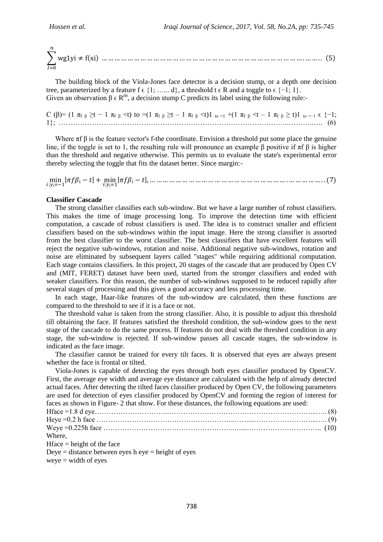∑ ( ) ( ) 

 The building block of the Viola-Jones face detector is a decision stump, or a depth one decision tree, parameterized by a feature f  $\epsilon$  {1; …, d}, a threshold t  $\epsilon$  R and a toggle to  $\epsilon$  {-1; 1}. Given an observation  $\beta \in \mathbb{R}^{dn}$ , a decision stump C predicts its label using the following rule:-

C (β)=  $(1 \pi_{f} \beta \geq t - 1 \pi_{f} \beta \leq t)$  to  $=(1 \pi_{f} \beta \geq t - 1 \pi_{f} \beta \leq t)1$  to  $=1 + (1 \pi_{f} \beta \leq t - 1 \pi_{f} \beta \geq t)1$  to  $=1 \in \{-1;$ 1}; ……………………………………………………………………………………..………..…. (6)

Where  $\pi f$  β is the feature vector's f-the coordinate. Envision a threshold put some place the genuine line, if the toggle is set to 1, the resulting rule will pronounce an example  $\beta$  positive if  $\pi f \beta$  is higher than the threshold and negative otherwise. This permits us to evaluate the state's experimental error thereby selecting the toggle that fits the dataset better. Since margin:-

| | | | ( )

#### **Classifier Cascade**

The strong classifier classifies each sub-window. But we have a large number of robust classifiers. This makes the time of image processing long. To improve the detection time with efficient computation, a cascade of robust classifiers is used. The idea is to construct smaller and efficient classifiers based on the sub-windows within the input image. Here the strong classifier is assorted from the best classifier to the worst classifier. The best classifiers that have excellent features will reject the negative sub-windows, rotation and noise. Additional negative sub-windows, rotation and noise are eliminated by subsequent layers called "stages" while requiring additional computation. Each stage contains classifiers. In this project, 20 stages of the cascade that are produced by Open CV and (MIT, FERET) dataset have been used, started from the stronger classifiers and ended with weaker classifiers. For this reason, the number of sub-windows supposed to be reduced rapidly after several stages of processing and this gives a good accuracy and less processing time.

 In each stage, Haar-like features of the sub-window are calculated, then these functions are compared to the threshold to see if it is a face or not.

 The threshold value is taken from the strong classifier. Also, it is possible to adjust this threshold till obtaining the face. If features satisfied the threshold condition, the sub-window goes to the next stage of the cascade to do the same process. If features do not deal with the threshed condition in any stage, the sub-window is rejected. If sub-window passes all cascade stages, the sub-window is indicated as the face image.

 The classifier cannot be trained for every tilt faces. It is observed that eyes are always present whether the face is frontal or tilted.

 Viola-Jones is capable of detecting the eyes through both eyes classifier produced by OpenCV. First, the average eye width and average eye distance are calculated with the help of already detected actual faces. After detecting the tilted faces classifier produced by Open CV, the following parameters are used for detection of eyes classifier produced by OpenCV and forming the region of interest for faces as shown in Figure- 2 that show. For these distances, the following equations are used:

| Where. |  |
|--------|--|

 $Hface = height of the face$ 

Deye  $=$  distance between eyes h eye  $=$  height of eyes

 $weye = width of eyes$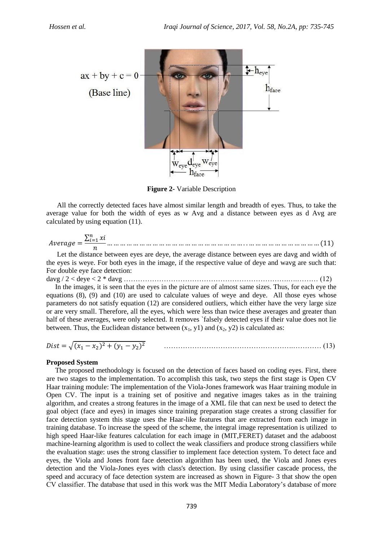

**Figure 2-** Variable Description

 All the correctly detected faces have almost similar length and breadth of eyes. Thus, to take the average value for both the width of eyes as w Avg and a distance between eyes as d Avg are calculated by using equation (11).

 ∑ ( )

 Let the distance between eyes are deye, the average distance between eyes are davg and width of the eyes is weye. For both eyes in the image, if the respective value of deye and wavg are such that: For double eye face detection:

davg / 2 < deye < 2 \* davg …………………………………………………………….….……… (12) In the images, it is seen that the eyes in the picture are of almost same sizes. Thus, for each eye the equations (8), (9) and (10) are used to calculate values of weye and deye. All those eyes whose parameters do not satisfy equation (12) are considered outliers, which either have the very large size or are very small. Therefore, all the eyes, which were less than twice these averages and greater than half of these averages, were only selected. It removes `falsely detected eyes if their value does not lie between. Thus, the Euclidean distance between  $(x_1, y_1)$  and  $(x_2, y_2)$  is calculated as:

$$
Dist = \sqrt{(x_1 - x_2)^2 + (y_1 - y_2)^2}
$$
 (13)

# **Proposed System**

The proposed methodology is focused on the detection of faces based on coding eyes. First, there are two stages to the implementation. To accomplish this task, two steps the first stage is Open CV Haar training module: The implementation of the Viola-Jones framework was Haar training module in Open CV. The input is a training set of positive and negative images takes as in the training algorithm, and creates a strong features in the image of a XML file that can next be used to detect the goal object (face and eyes) in images since training preparation stage creates a strong classifier for face detection system this stage uses the Haar-like features that are extracted from each image in training database. To increase the speed of the scheme, the integral image representation is utilized to high speed Haar-like features calculation for each image in (MIT, FERET) dataset and the adaboost machine-learning algorithm is used to collect the weak classifiers and produce strong classifiers while the evaluation stage: uses the strong classifier to implement face detection system. To detect face and eyes, the Viola and Jones front face detection algorithm has been used, the Viola and Jones eyes detection and the Viola-Jones eyes with class's detection. By using classifier cascade process, the speed and accuracy of face detection system are increased as shown in Figure- 3 that show the open CV classifier. The database that used in this work was the MIT Media Laboratory's database of more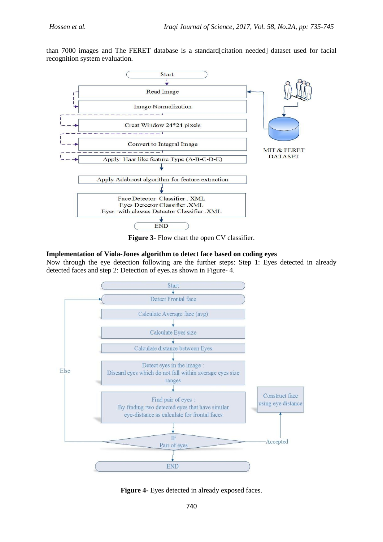than 7000 images and The FERET database is a standard[citation needed] dataset used for facial recognition system evaluation.



**Figure 3-** Flow chart the open CV classifier.

# **Implementation of Viola-Jones algorithm to detect face based on coding eyes**

Now through the eye detection following are the further steps: Step 1: Eyes detected in already detected faces and step 2: Detection of eyes.as shown in Figure- 4.



**Figure 4-** Eyes detected in already exposed faces.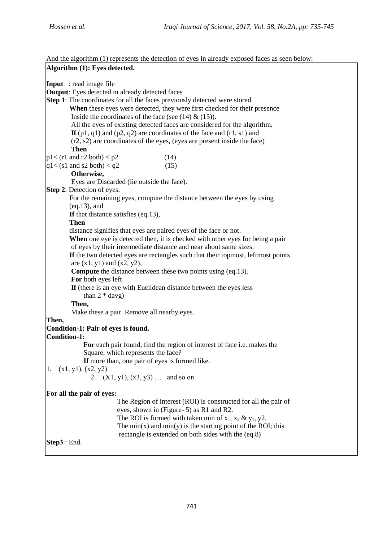And the algorithm (1) represents the detection of eyes in already exposed faces as seen below: **Algorithm (1): Eyes detected. Input** : read image file **Output**: Eyes detected in already detected faces **Step 1**: The coordinates for all the faces previously detected were stored. **When** these eyes were detected, they were first checked for their presence Inside the coordinates of the face (see  $(14)$  &  $(15)$ ). All the eyes of existing detected faces are considered for the algorithm. **If**  $(p1, q1)$  and  $(p2, q2)$  are coordinates of the face and  $(r1, s1)$  and (r2, s2) are coordinates of the eyes, (eyes are present inside the face) **Then**  $p1 < (r1 \text{ and } r2 \text{ both}) < p2$  (14)  $q1 < (s1 \text{ and } s2 \text{ both}) < q2$  (15) **Otherwise,** Eyes are Discarded (lie outside the face). **Step 2**: Detection of eyes. For the remaining eyes, compute the distance between the eyes by using (eq.13), and **If** that distance satisfies (eq.13), **Then** distance signifies that eyes are paired eyes of the face or not. **When** one eye is detected then, it is checked with other eyes for being a pair of eyes by their intermediate distance and near about same sizes.  **If** the two detected eyes are rectangles such that their topmost, leftmost points are  $(x1, y1)$  and  $(x2, y2)$ , **Compute** the distance between these two points using (eq.13).  **For** both eyes left  **If** (there is an eye with Euclidean distance between the eyes less than  $2 * day$  **Then,** Make these a pair. Remove all nearby eyes. **Then, Condition-1: Pair of eyes is found. Condition-1: For** each pair found, find the region of interest of face i.e. makes the Square, which represents the face?  **If** more than, one pair of eyes is formed like. 1.  $(x1, y1)$ ,  $(x2, y2)$ 2.  $(X1, y1)$ ,  $(x3, y3)$  … and so on **For all the pair of eyes:** The Region of interest (ROI) is constructed for all the pair of eyes, shown in (Figure- 5) as R1 and R2. The ROI is formed with taken min of  $x_1$ ,  $x_2 \& y_1$ , y2. The min(x) and min(y) is the starting point of the ROI; this rectangle is extended on both sides with the (eq.8) **Step3** : End.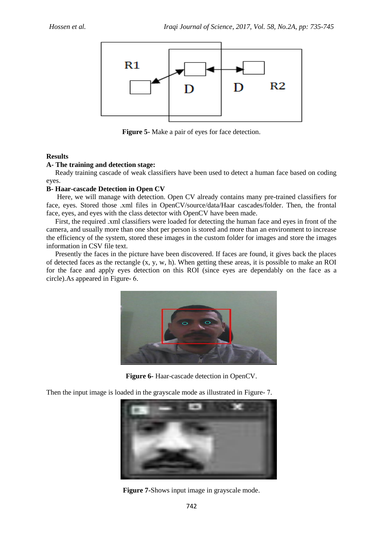

**Figure 5-** Make a pair of eyes for face detection.

# **Results**

# **A- The training and detection stage:**

 Ready training cascade of weak classifiers have been used to detect a human face based on coding eyes.

# **B- Haar-cascade Detection in Open CV**

 Here, we will manage with detection. Open CV already contains many pre-trained classifiers for face, eyes. Stored those .xml files in OpenCV/source/data/Haar cascades/folder. Then, the frontal face, eyes, and eyes with the class detector with OpenCV have been made.

 First, the required .xml classifiers were loaded for detecting the human face and eyes in front of the camera, and usually more than one shot per person is stored and more than an environment to increase the efficiency of the system, stored these images in the custom folder for images and store the images information in CSV file text.

 Presently the faces in the picture have been discovered. If faces are found, it gives back the places of detected faces as the rectangle  $(x, y, w, h)$ . When getting these areas, it is possible to make an ROI for the face and apply eyes detection on this ROI (since eyes are dependably on the face as a circle).As appeared in Figure- 6.



**Figure 6-** Haar-cascade detection in OpenCV.

Then the input image is loaded in the grayscale mode as illustrated in Figure- 7.



**Figure 7-**Shows input image in grayscale mode.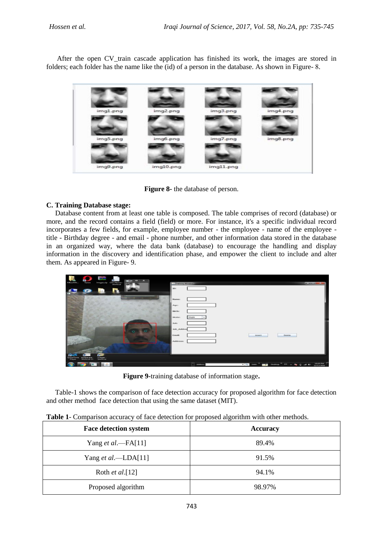After the open CV\_train cascade application has finished its work, the images are stored in folders; each folder has the name like the (id) of a person in the database. As shown in Figure- 8.



**Figure 8-** the database of person.

# **C. Training Database stage:**

 Database content from at least one table is composed. The table comprises of record (database) or more, and the record contains a field (field) or more. For instance, it's a specific individual record incorporates a few fields, for example, employee number - the employee - name of the employee title - Birthday degree - and email - phone number, and other information data stored in the database in an organized way, where the data bank (database) to encourage the handling and display information in the discovery and identification phase, and empower the client to include and alter them. As appeared in Figure- 9.

| г                        | c                             | <b>Contract</b>      |                           | $\mathbf{a} = \mathbf{a}$<br>$\sim$ $\times$ |                           |                          |                                                   |                                       |                        |
|--------------------------|-------------------------------|----------------------|---------------------------|----------------------------------------------|---------------------------|--------------------------|---------------------------------------------------|---------------------------------------|------------------------|
| MELENN,                  | Opera                         |                      | images.zip CSV_FILE.txt - |                                              | <b>A. Training Window</b> |                          |                                                   |                                       | <b>SCHOOL SECTION</b>  |
|                          |                               |                      |                           |                                              | <b>ID:</b>                |                          |                                                   |                                       |                        |
|                          |                               |                      |                           | -                                            | Hame:                     |                          |                                                   |                                       |                        |
|                          |                               |                      |                           |                                              | Age:                      |                          |                                                   |                                       |                        |
|                          |                               |                      |                           |                                              | Dirth:                    |                          |                                                   |                                       |                        |
|                          |                               |                      |                           |                                              | Nitzations                | Single<br>$\blacksquare$ |                                                   |                                       |                        |
|                          |                               |                      |                           |                                              | <b>Jubi:</b>              |                          |                                                   |                                       |                        |
|                          |                               |                      |                           | $\sigma$<br>ö                                | Job Addres                |                          |                                                   |                                       |                        |
|                          |                               |                      |                           |                                              | <b>Conail:</b>            |                          | <b>Annext</b>                                     | Deniste                               |                        |
|                          |                               |                      |                           |                                              | Address:                  |                          |                                                   |                                       |                        |
|                          |                               |                      |                           |                                              |                           |                          |                                                   |                                       |                        |
| ø<br>QuickTime<br>Player | eclipse.exe -<br>Shortcut (2) | images -<br>Shortcut |                           |                                              |                           |                          |                                                   |                                       |                        |
|                          |                               |                      |                           |                                              |                           | -<br><b>Address</b>      | $=$ $\frac{1}{2}$ and $\frac{1}{2}$<br><b>RAY</b> | Desktop <sup>19</sup> EN = 79 E al 40 | 10:19 PM<br>12/12/2006 |

**Figure 9-**training database of information stage**.**

 Table-1 shows the comparison of face detection accuracy for proposed algorithm for face detection and other method face detection that using the same dataset (MIT).

| <b>Face detection system</b> | <b>Accuracy</b> |
|------------------------------|-----------------|
| Yang et al.—FA[11]           | 89.4%           |
| Yang et al.—LDA[11]          | 91.5%           |
| Roth <i>et al.</i> [12]      | 94.1%           |
| Proposed algorithm           | 98.97%          |

**Table 1**- Comparison accuracy of face detection for proposed algorithm with other methods.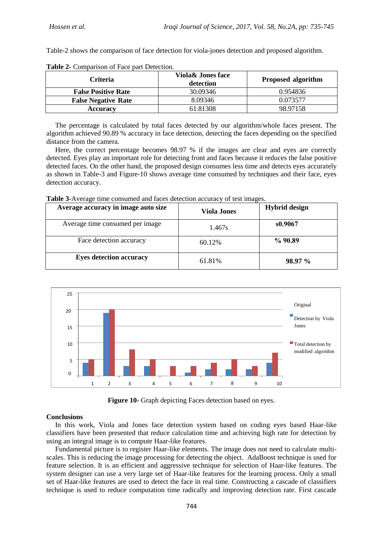Table-2 shows the comparison of face detection for viola-jones detection and proposed algorithm.

| <b>Criteria</b>            | <b>Viola&amp; Jones face</b><br>detection | <b>Proposed algorithm</b> |  |
|----------------------------|-------------------------------------------|---------------------------|--|
| <b>False Positive Rate</b> | 30.09346                                  | 0.954836                  |  |
| <b>False Negative Rate</b> | 8.09346                                   | 0.073577                  |  |
| <b>Accuracy</b>            | 61.81308                                  | 98.97158                  |  |

**Table 2-** Comparison of Face part Detection.

 The percentage is calculated by total faces detected by our algorithm/whole faces present. The algorithm achieved 90.89 % accuracy in face detection, detecting the faces depending on the specified distance from the camera.

 Here, the correct percentage becomes 98.97 % if the images are clear and eyes are correctly detected. Eyes play an important role for detecting front and faces because it reduces the false positive detected faces. On the other hand, the proposed design consumes less time and detects eyes accurately as shown in Table-3 and Figure-10 shows average time consumed by techniques and their face, eyes detection accuracy.

**Table 3-**Average time consumed and faces detection accuracy of test images.

| Average accuracy in image auto size | <b>Viola Jones</b> | <b>Hybrid design</b> |
|-------------------------------------|--------------------|----------------------|
| Average time consumed per image     | 1.467s             | s0.9067              |
| Face detection accuracy             | 60.12%             | %90.89               |
| <b>Eyes detection accuracy</b>      | 61.81%             | 98.97 %              |



**Figure 10-** Graph depicting Faces detection based on eyes.

# **Conclusions**

 In this work, Viola and Jones face detection system based on coding eyes based Haar-like classifiers have been presented that reduce calculation time and achieving high rate for detection by using an integral image is to compute Haar-like features.

 Fundamental picture is to register Haar-like elements. The image does not need to calculate multiscales. This is reducing the image processing for detecting the object. AdaBoost technique is used for feature selection. It is an efficient and aggressive technique for selection of Haar-like features. The system designer can use a very large set of Haar-like features for the learning process. Only a small set of Haar-like features are used to detect the face in real time. Constructing a cascade of classifiers technique is used to reduce computation time radically and improving detection rate. First cascade